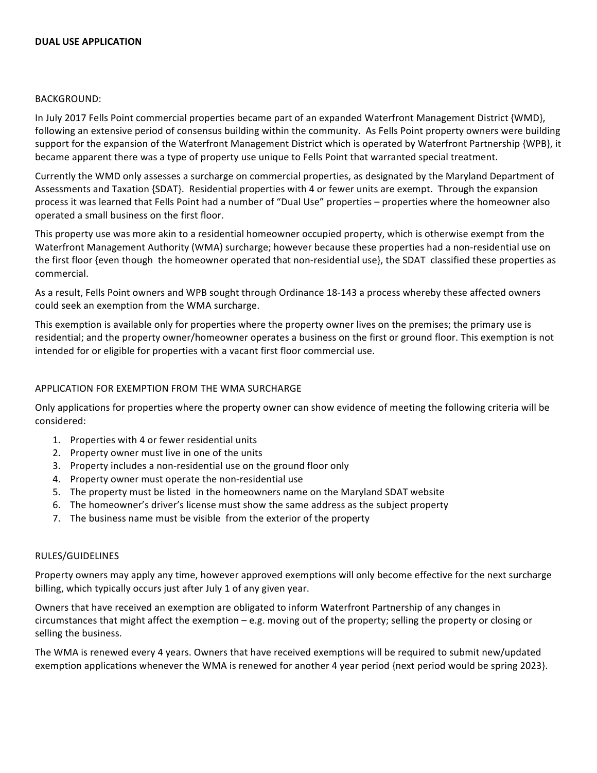#### **DUAL USE APPLICATION**

### BACKGROUND:

In July 2017 Fells Point commercial properties became part of an expanded Waterfront Management District {WMD}, following an extensive period of consensus building within the community. As Fells Point property owners were building support for the expansion of the Waterfront Management District which is operated by Waterfront Partnership {WPB}, it became apparent there was a type of property use unique to Fells Point that warranted special treatment.

Currently the WMD only assesses a surcharge on commercial properties, as designated by the Maryland Department of Assessments and Taxation {SDAT}. Residential properties with 4 or fewer units are exempt. Through the expansion process it was learned that Fells Point had a number of "Dual Use" properties – properties where the homeowner also operated a small business on the first floor.

This property use was more akin to a residential homeowner occupied property, which is otherwise exempt from the Waterfront Management Authority (WMA) surcharge; however because these properties had a non-residential use on the first floor {even though the homeowner operated that non-residential use}, the SDAT classified these properties as commercial. 

As a result, Fells Point owners and WPB sought through Ordinance 18-143 a process whereby these affected owners could seek an exemption from the WMA surcharge.

This exemption is available only for properties where the property owner lives on the premises; the primary use is residential; and the property owner/homeowner operates a business on the first or ground floor. This exemption is not intended for or eligible for properties with a vacant first floor commercial use.

## APPLICATION FOR EXEMPTION FROM THE WMA SURCHARGE

Only applications for properties where the property owner can show evidence of meeting the following criteria will be considered: 

- 1. Properties with 4 or fewer residential units
- 2. Property owner must live in one of the units
- 3. Property includes a non-residential use on the ground floor only
- 4. Property owner must operate the non-residential use
- 5. The property must be listed in the homeowners name on the Maryland SDAT website
- 6. The homeowner's driver's license must show the same address as the subject property
- 7. The business name must be visible from the exterior of the property

### RULES/GUIDELINES

Property owners may apply any time, however approved exemptions will only become effective for the next surcharge billing, which typically occurs just after July 1 of any given year.

Owners that have received an exemption are obligated to inform Waterfront Partnership of any changes in circumstances that might affect the exemption  $-$  e.g. moving out of the property; selling the property or closing or selling the business.

The WMA is renewed every 4 years. Owners that have received exemptions will be required to submit new/updated exemption applications whenever the WMA is renewed for another 4 year period {next period would be spring 2023}.